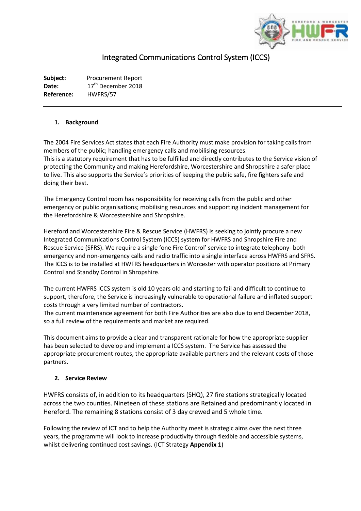

# Integrated Communications Control System (ICCS)

**Subject:** Procurement Report Date: 17<sup>th</sup> December 2018 **Reference:** HWFRS/57

## **1. Background**

The 2004 Fire Services Act states that each Fire Authority must make provision for taking calls from members of the public; handling emergency calls and mobilising resources. This is a statutory requirement that has to be fulfilled and directly contributes to the Service vision of protecting the Community and making Herefordshire, Worcestershire and Shropshire a safer place to live. This also supports the Service's priorities of keeping the public safe, fire fighters safe and doing their best.

The Emergency Control room has responsibility for receiving calls from the public and other emergency or public organisations; mobilising resources and supporting incident management for the Herefordshire & Worcestershire and Shropshire.

Hereford and Worcestershire Fire & Rescue Service (HWFRS) is seeking to jointly procure a new Integrated Communications Control System (ICCS) system for HWFRS and Shropshire Fire and Rescue Service (SFRS). We require a single 'one Fire Control' service to integrate telephony- both emergency and non-emergency calls and radio traffic into a single interface across HWFRS and SFRS. The ICCS is to be installed at HWFRS headquarters in Worcester with operator positions at Primary Control and Standby Control in Shropshire.

The current HWFRS ICCS system is old 10 years old and starting to fail and difficult to continue to support, therefore, the Service is increasingly vulnerable to operational failure and inflated support costs through a very limited number of contractors.

The current maintenance agreement for both Fire Authorities are also due to end December 2018, so a full review of the requirements and market are required.

This document aims to provide a clear and transparent rationale for how the appropriate supplier has been selected to develop and implement a ICCS system. The Service has assessed the appropriate procurement routes, the appropriate available partners and the relevant costs of those partners.

#### **2. Service Review**

HWFRS consists of, in addition to its headquarters (SHQ), 27 fire stations strategically located across the two counties. Nineteen of these stations are Retained and predominantly located in Hereford. The remaining 8 stations consist of 3 day crewed and 5 whole time.

Following the review of ICT and to help the Authority meet is strategic aims over the next three years, the programme will look to increase productivity through flexible and accessible systems, whilst delivering continued cost savings. (ICT Strategy **Appendix 1**)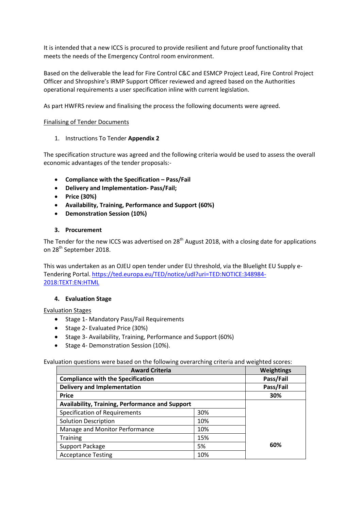It is intended that a new ICCS is procured to provide resilient and future proof functionality that meets the needs of the Emergency Control room environment.

Based on the deliverable the lead for Fire Control C&C and ESMCP Project Lead, Fire Control Project Officer and Shropshire's IRMP Support Officer reviewed and agreed based on the Authorities operational requirements a user specification inline with current legislation.

As part HWFRS review and finalising the process the following documents were agreed.

## Finalising of Tender Documents

1. Instructions To Tender **Appendix 2**

The specification structure was agreed and the following criteria would be used to assess the overall economic advantages of the tender proposals:-

- **Compliance with the Specification – Pass/Fail**
- **Delivery and Implementation- Pass/Fail;**
- **Price (30%)**
- **Availability, Training, Performance and Support (60%)**
- **Demonstration Session (10%)**

## **3. Procurement**

The Tender for the new ICCS was advertised on  $28<sup>th</sup>$  August 2018, with a closing date for applications on 28<sup>th</sup> September 2018.

This was undertaken as an OJEU open tender under EU threshold, via the Bluelight EU Supply e-Tendering Portal[. https://ted.europa.eu/TED/notice/udl?uri=TED:NOTICE:348984-](https://ted.europa.eu/TED/notice/udl?uri=TED:NOTICE:348984-2018:TEXT:EN:HTML) [2018:TEXT:EN:HTML](https://ted.europa.eu/TED/notice/udl?uri=TED:NOTICE:348984-2018:TEXT:EN:HTML)

#### **4. Evaluation Stage**

#### Evaluation Stages

- Stage 1- Mandatory Pass/Fail Requirements
- Stage 2- Evaluated Price (30%)
- Stage 3- Availability, Training, Performance and Support (60%)
- Stage 4- Demonstration Session (10%).

Evaluation questions were based on the following overarching criteria and weighted scores:

| <b>Award Criteria</b>                                  |     | <b>Weightings</b> |
|--------------------------------------------------------|-----|-------------------|
| <b>Compliance with the Specification</b>               |     | Pass/Fail         |
| <b>Delivery and Implementation</b>                     |     | Pass/Fail         |
| <b>Price</b>                                           |     | 30%               |
| <b>Availability, Training, Performance and Support</b> |     |                   |
| <b>Specification of Requirements</b>                   | 30% |                   |
| <b>Solution Description</b>                            | 10% |                   |
| Manage and Monitor Performance                         | 10% |                   |
| <b>Training</b>                                        | 15% |                   |
| Support Package                                        | 5%  | 60%               |
| <b>Acceptance Testing</b>                              | 10% |                   |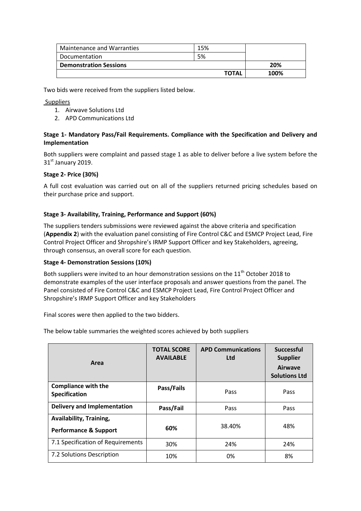| Maintenance and Warranties    | 15%          |      |
|-------------------------------|--------------|------|
| Documentation                 | 5%           |      |
| <b>Demonstration Sessions</b> |              | 20%  |
|                               | <b>TOTAL</b> | 100% |

Two bids were received from the suppliers listed below.

## Suppliers

- 1. Airwave Solutions Ltd
- 2. APD Communications Ltd

# **Stage 1- Mandatory Pass/Fail Requirements. Compliance with the Specification and Delivery and Implementation**

Both suppliers were complaint and passed stage 1 as able to deliver before a live system before the 31st January 2019.

# **Stage 2- Price (30%)**

A full cost evaluation was carried out on all of the suppliers returned pricing schedules based on their purchase price and support.

## **Stage 3- Availability, Training, Performance and Support (60%)**

The suppliers tenders submissions were reviewed against the above criteria and specification (**Appendix 2**) with the evaluation panel consisting of Fire Control C&C and ESMCP Project Lead, Fire Control Project Officer and Shropshire's IRMP Support Officer and key Stakeholders, agreeing, through consensus, an overall score for each question.

#### **Stage 4- Demonstration Sessions (10%)**

Both suppliers were invited to an hour demonstration sessions on the 11<sup>th</sup> October 2018 to demonstrate examples of the user interface proposals and answer questions from the panel. The Panel consisted of Fire Control C&C and ESMCP Project Lead, Fire Control Project Officer and Shropshire's IRMP Support Officer and key Stakeholders

Final scores were then applied to the two bidders.

The below table summaries the weighted scores achieved by both suppliers

| Area                                                        | <b>TOTAL SCORE</b><br><b>AVAILABLE</b> | <b>APD Communications</b><br><b>Ltd</b> | <b>Successful</b><br><b>Supplier</b><br>Airwave<br><b>Solutions Ltd</b> |
|-------------------------------------------------------------|----------------------------------------|-----------------------------------------|-------------------------------------------------------------------------|
| <b>Compliance with the</b><br>Specification                 | Pass/Fails                             | Pass                                    | Pass                                                                    |
| <b>Delivery and Implementation</b>                          | Pass/Fail                              | Pass                                    | Pass                                                                    |
| Availability, Training,<br><b>Performance &amp; Support</b> | 60%                                    | 38.40%                                  | 48%                                                                     |
| 7.1 Specification of Requirements                           | 30%                                    | 24%                                     | 24%                                                                     |
| 7.2 Solutions Description                                   | 10%                                    | 0%                                      | 8%                                                                      |